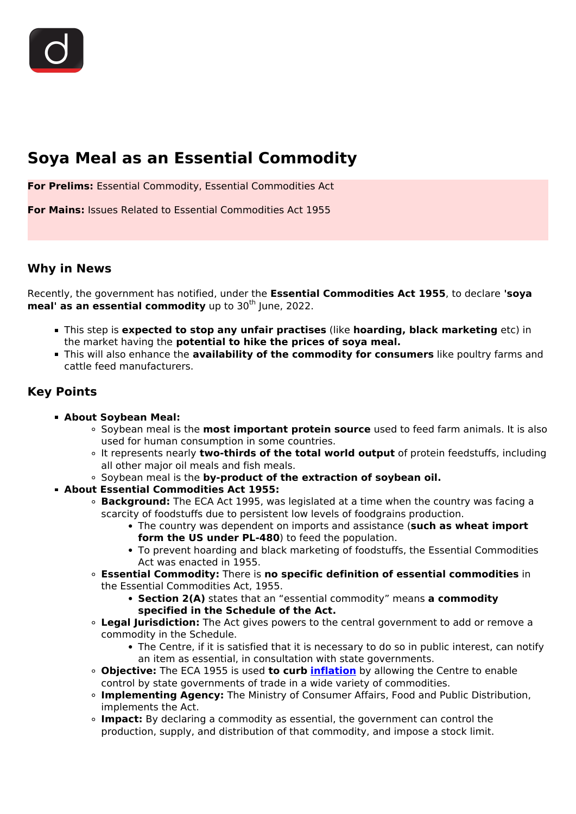# **Soya Meal as an Essential Commodity**

**For Prelims:** Essential Commodity, Essential Commodities Act

**For Mains:** Issues Related to Essential Commodities Act 1955

### **Why in News**

Recently, the government has notified, under the **Essential Commodities Act 1955**, to declare **'soya meal' as an essential commodity** up to 30<sup>th</sup> June, 2022.

- This step is **expected to stop any unfair practises** (like **hoarding, black marketing** etc) in the market having the **potential to hike the prices of soya meal.**
- This will also enhance the **availability of the commodity for consumers** like poultry farms and cattle feed manufacturers.

# **Key Points**

- **About Soybean Meal:**
	- Soybean meal is the **most important protein source** used to feed farm animals. It is also used for human consumption in some countries.
	- It represents nearly **two-thirds of the total world output** of protein feedstuffs, including all other major oil meals and fish meals.
	- **Soybean meal is the by-product of the extraction of soybean oil.**
- **About Essential Commodities Act 1955:**
	- **Background:** The ECA Act 1995, was legislated at a time when the country was facing a scarcity of foodstuffs due to persistent low levels of foodgrains production.
		- The country was dependent on imports and assistance (**such as wheat import form the US under PL-480**) to feed the population.
		- To prevent hoarding and black marketing of foodstuffs, the Essential Commodities Act was enacted in 1955.
	- **Essential Commodity:** There is **no specific definition of essential commodities** in the Essential Commodities Act, 1955.
		- **Section 2(A)** states that an "essential commodity" means **a commodity specified in the Schedule of the Act.**
	- **Legal Jurisdiction:** The Act gives powers to the central government to add or remove a commodity in the Schedule.
		- The Centre, if it is satisfied that it is necessary to do so in public interest, can notify an item as essential, in consultation with state governments.
	- **Objective:** The ECA 1955 is used **to curb [inflation](/daily-updates/daily-news-analysis/inflation-data-august-2020)** by allowing the Centre to enable control by state governments of trade in a wide variety of commodities.
	- **Implementing Agency:** The Ministry of Consumer Affairs, Food and Public Distribution, implements the Act.
	- **Impact:** By declaring a commodity as essential, the government can control the production, supply, and distribution of that commodity, and impose a stock limit.